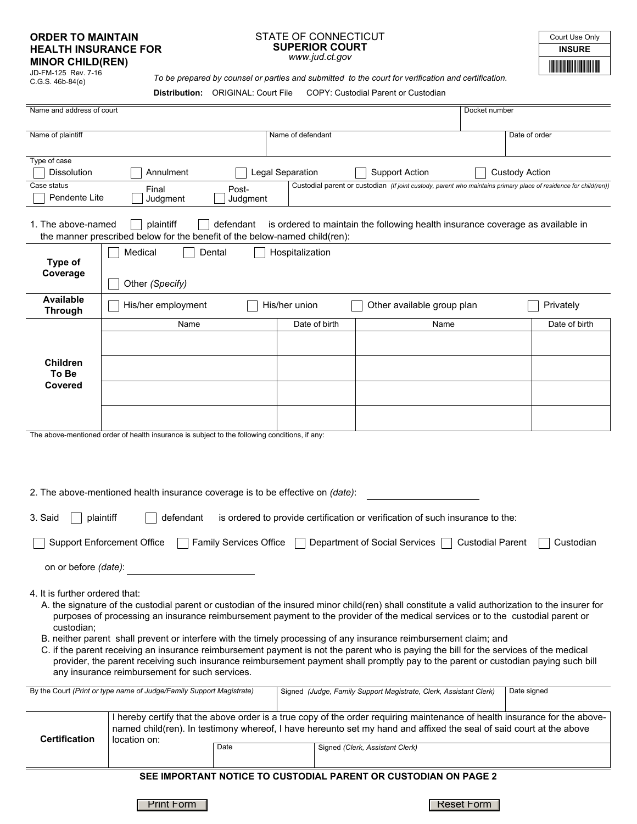## **ORDER TO MAINTAIN HEALTH INSURANCE FOR MINOR CHILD(REN)**

JD-FM-125 Rev. 7-16 C.G.S. 46b-84(e)

## STATE OF CONNECTICUT **SUPERIOR COURT**  *www.jud.ct.gov*

\*INSURE\* **INSURE** Court Use Only

*To be prepared by counsel or parties and submitted to the court for verification and certification.*

| <b>Distribution: ORIGINAL: Court File</b> | COPY: Custodial Parent or Custodian |
|-------------------------------------------|-------------------------------------|
|-------------------------------------------|-------------------------------------|

| Name and address of court                                                                                                                                                                            |                                                                                                                                                                     |                   |                   |                                                                   | Docket number                                                                                                                                                                                                                                                                                                                                                                                                                                                                                                                                                      |  |
|------------------------------------------------------------------------------------------------------------------------------------------------------------------------------------------------------|---------------------------------------------------------------------------------------------------------------------------------------------------------------------|-------------------|-------------------|-------------------------------------------------------------------|--------------------------------------------------------------------------------------------------------------------------------------------------------------------------------------------------------------------------------------------------------------------------------------------------------------------------------------------------------------------------------------------------------------------------------------------------------------------------------------------------------------------------------------------------------------------|--|
| Name of plaintiff                                                                                                                                                                                    |                                                                                                                                                                     |                   | Name of defendant |                                                                   | Date of order                                                                                                                                                                                                                                                                                                                                                                                                                                                                                                                                                      |  |
| Type of case<br>Dissolution<br>Case status                                                                                                                                                           | Annulment                                                                                                                                                           | Legal Separation  |                   | <b>Support Action</b>                                             | <b>Custody Action</b>                                                                                                                                                                                                                                                                                                                                                                                                                                                                                                                                              |  |
| Pendente Lite                                                                                                                                                                                        | Final<br>Judgment                                                                                                                                                   | Post-<br>Judgment |                   |                                                                   | Custodial parent or custodian (If joint custody, parent who maintains primary place of residence for child(ren))                                                                                                                                                                                                                                                                                                                                                                                                                                                   |  |
| 1. The above-named                                                                                                                                                                                   | plaintiff<br>the manner prescribed below for the benefit of the below-named child(ren):                                                                             | defendant         |                   |                                                                   | is ordered to maintain the following health insurance coverage as available in                                                                                                                                                                                                                                                                                                                                                                                                                                                                                     |  |
| Medical<br>Dental<br>Hospitalization<br>Type of<br>Coverage<br>Other (Specify)                                                                                                                       |                                                                                                                                                                     |                   |                   |                                                                   |                                                                                                                                                                                                                                                                                                                                                                                                                                                                                                                                                                    |  |
| <b>Available</b><br><b>Through</b>                                                                                                                                                                   | His/her employment                                                                                                                                                  |                   | His/her union     | Other available group plan                                        | Privately                                                                                                                                                                                                                                                                                                                                                                                                                                                                                                                                                          |  |
|                                                                                                                                                                                                      | Name                                                                                                                                                                |                   | Date of birth     | Name                                                              | Date of birth                                                                                                                                                                                                                                                                                                                                                                                                                                                                                                                                                      |  |
| <b>Children</b><br>To Be<br>Covered                                                                                                                                                                  |                                                                                                                                                                     |                   |                   |                                                                   |                                                                                                                                                                                                                                                                                                                                                                                                                                                                                                                                                                    |  |
|                                                                                                                                                                                                      | The above-mentioned order of health insurance is subject to the following conditions, if any:                                                                       |                   |                   |                                                                   |                                                                                                                                                                                                                                                                                                                                                                                                                                                                                                                                                                    |  |
| 2. The above-mentioned health insurance coverage is to be effective on (date):<br>3. Said<br>plaintiff<br>is ordered to provide certification or verification of such insurance to the:<br>defendant |                                                                                                                                                                     |                   |                   |                                                                   |                                                                                                                                                                                                                                                                                                                                                                                                                                                                                                                                                                    |  |
| <b>Support Enforcement Office</b><br><b>Family Services Office</b><br>Department of Social Services<br><b>Custodial Parent</b><br>Custodian                                                          |                                                                                                                                                                     |                   |                   |                                                                   |                                                                                                                                                                                                                                                                                                                                                                                                                                                                                                                                                                    |  |
| on or before (date):                                                                                                                                                                                 |                                                                                                                                                                     |                   |                   |                                                                   |                                                                                                                                                                                                                                                                                                                                                                                                                                                                                                                                                                    |  |
| 4. It is further ordered that:<br>custodian;                                                                                                                                                         | B. neither parent shall prevent or interfere with the timely processing of any insurance reimbursement claim; and<br>any insurance reimbursement for such services. |                   |                   |                                                                   | A. the signature of the custodial parent or custodian of the insured minor child(ren) shall constitute a valid authorization to the insurer for<br>purposes of processing an insurance reimbursement payment to the provider of the medical services or to the custodial parent or<br>C. if the parent receiving an insurance reimbursement payment is not the parent who is paying the bill for the services of the medical<br>provider, the parent receiving such insurance reimbursement payment shall promptly pay to the parent or custodian paying such bill |  |
|                                                                                                                                                                                                      | By the Court (Print or type name of Judge/Family Support Magistrate)                                                                                                |                   |                   | Signed (Judge, Family Support Magistrate, Clerk, Assistant Clerk) | Date signed                                                                                                                                                                                                                                                                                                                                                                                                                                                                                                                                                        |  |
| <b>Certification</b>                                                                                                                                                                                 | location on:                                                                                                                                                        | Date              |                   | Signed (Clerk, Assistant Clerk)                                   | I hereby certify that the above order is a true copy of the order requiring maintenance of health insurance for the above-<br>named child(ren). In testimony whereof, I have hereunto set my hand and affixed the seal of said court at the above                                                                                                                                                                                                                                                                                                                  |  |
| SEE IMPORTANT NOTICE TO CUSTODIAL PARENT OR CUSTODIAN ON PAGE 2                                                                                                                                      |                                                                                                                                                                     |                   |                   |                                                                   |                                                                                                                                                                                                                                                                                                                                                                                                                                                                                                                                                                    |  |

Print Form | Reset Form | Reset Form | Reset Form | Reset Form | Reset Form | Reset Form | Reset Form | Reset Form | Reset Form |  $R$